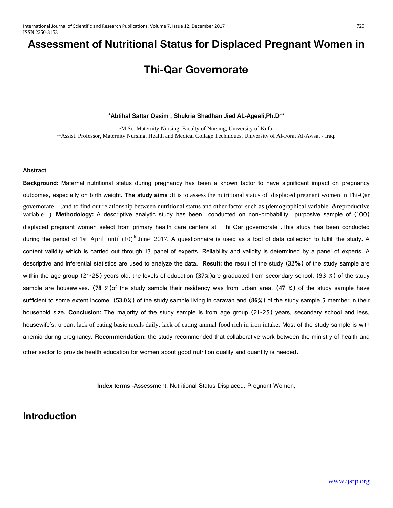# **Assessment of Nutritional Status for Displaced Pregnant Women in**

# **Thi-Qar Governorate**

#### **\*Abtihal Sattar Qasim , Shukria Shadhan Jied AL-Ageeli,Ph.D\*\***

\*M.Sc. Maternity Nursing, Faculty of Nursing, University of Kufa. \*\*Assist. Professor, Maternity Nursing, Health and Medical Collage Techniques, University of Al-Forat Al-Awsat - Iraq.

#### **Abstract**

**Background:** Maternal nutritional status during pregnancy has been a known factor to have significant impact on pregnancy outcomes, especially on birth weight. **The study aims** :It is to assess the nutritional status of displaced pregnant women in Thi-Qar governorate ,and to find out relationship between nutritional status and other factor such as (demographical variable &reproductive variable ) .**Methodology:** A descriptive analytic study has been conducted on non-probability purposive sample of (100) displaced pregnant women select from primary health care centers at Thi-Qar governorate .This study has been conducted during the period of 1st April until  $(10)^{th}$  June 2017. A questionnaire is used as a tool of data collection to fulfill the study. A content validity which is carried out through 13 panel of experts. Reliability and validity is determined by a panel of experts. A descriptive and inferential statistics are used to analyze the data. **Result: the** result of the study (**32%**) of the study sample are within the age group (21-25) years old. the levels of education (**37**%)are graduated from secondary school. (93 %) of the study sample are housewives. (**78** %)of the study sample their residency was from urban area. (**47** %) of the study sample have sufficient to some extent income. (**53.0**%) of the study sample living in caravan and (**86**%) of the study sample 5 member in their household size**. Conclusion:** The majority of the study sample is from age group (21-25) years, secondary school and less, housewife's, urban, lack of eating basic meals daily, lack of eating animal food rich in iron intake. Most of the study sample is with anemia during pregnancy. **Recommendation:** the study recommended that collaborative work between the ministry of health and other sector to provide health education for women about good nutrition quality and quantity is needed.

**Index terms -**Assessment, Nutritional Status Displaced, Pregnant Women,

#### **Introduction**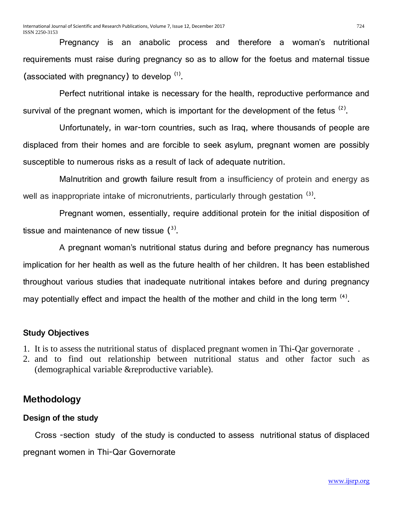Pregnancy is an anabolic process and therefore a woman's nutritional requirements must raise during pregnancy so as to allow for the foetus and maternal tissue (associated with pregnancy) to develop  $(1)$ .

Perfect nutritional intake is necessary for the health, reproductive performance and survival of the pregnant women, which is important for the development of the fetus  $(2)$ .

Unfortunately, in war-torn countries, such as Iraq, where thousands of people are displaced from their homes and are forcible to seek asylum, pregnant women are possibly susceptible to numerous risks as a result of lack of adequate nutrition.

Malnutrition and growth failure result from a insufficiency of protein and energy as well as inappropriate intake of micronutrients, particularly through gestation <sup>(3)</sup>.

Pregnant women, essentially, require additional protein for the initial disposition of tissue and maintenance of new tissue  $(3)$ .

A pregnant woman's nutritional status during and before pregnancy has numerous implication for her health as well as the future health of her children. It has been established throughout various studies that inadequate nutritional intakes before and during pregnancy may potentially effect and impact the health of the mother and child in the long term  $(4)$ .

## **Study Objectives**

- 1. It is to assess the nutritional status of displaced pregnant women in Thi-Qar governorate .
- 2. and to find out relationship between nutritional status and other factor such as (demographical variable &reproductive variable).

# **Methodology**

## **Design of the study**

Cross -section study of the study is conducted to assess nutritional status of displaced pregnant women in Thi-Qar Governorate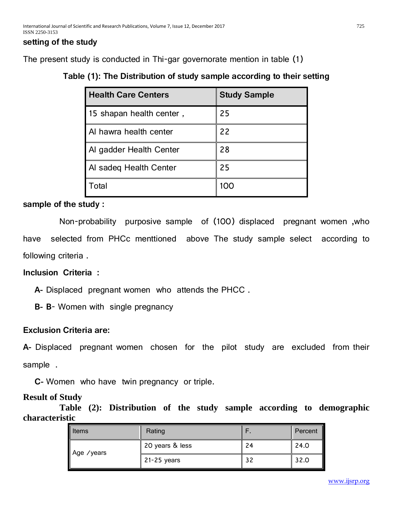### **setting of the study**

The present study is conducted in Thi-gar governorate mention in table (1)

| <b>Health Care Centers</b> | <b>Study Sample</b> |
|----------------------------|---------------------|
| 15 shapan health center,   | 25                  |
| Al hawra health center     | 22                  |
| Al gadder Health Center    | 28                  |
| Al sadeq Health Center     | 25                  |
| <sup>-</sup> otal          | 1OC                 |

#### **sample of the study :**

Non-probability purposive sample of (100) displaced pregnant women **,**who have selected from PHCc menttioned above The study sample select according to following criteria .

#### **Inclusion Criteria :**

**A-** Displaced pregnant women who attends the PHCC .

**B- B**- Women with single pregnancy

### **Exclusion Criteria are:**

**A-** Displaced pregnant women chosen for the pilot study are excluded from their sample .

**C-** Women who have twin pregnancy or triple.

### **Result of Study**

**Table (2): Distribution of the study sample according to demographic characteristic** 

| l Items    | Rating          |    | Percent |
|------------|-----------------|----|---------|
| Age /years | 20 years & less | 24 | 24.0    |
|            | $21-25$ years   | 32 | 32.0    |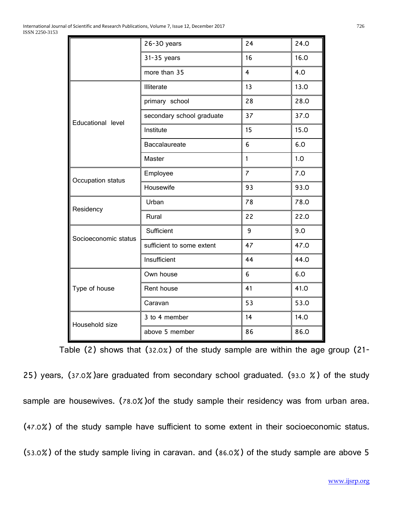|                      | $26-30$ years             | 24             | 24.0 |
|----------------------|---------------------------|----------------|------|
|                      | $31-35$ years             | 16             | 16.0 |
|                      | more than 35              | $\overline{4}$ | 4.0  |
|                      | Illiterate                | 13             | 13.0 |
|                      | primary school            | 28             | 28.0 |
| Educational level    | secondary school graduate | 37             | 37.0 |
|                      | Institute                 | 15             | 15.0 |
|                      | Baccalaureate             | 6              | 6.0  |
|                      | Master                    | $\mathbf{1}$   | 1.0  |
| Occupation status    | Employee                  | $\overline{7}$ | 7.0  |
|                      | Housewife                 | 93             | 93.0 |
| Residency            | Urban                     | 78             | 78.0 |
|                      | Rural                     | 22             | 22.0 |
| Socioeconomic status | Sufficient                | 9              | 9.0  |
|                      | sufficient to some extent | 47             | 47.0 |
|                      | Insufficient              | 44             | 44.0 |
|                      | Own house                 | 6              | 6.0  |
| Type of house        | Rent house                | 41             | 41.0 |
|                      | Caravan                   | 53             | 53.0 |
| Household size       | 3 to 4 member             | 14             | 14.0 |
|                      | above 5 member            | 86             | 86.0 |

Table (2) shows that (32.0%) of the study sample are within the age group (21-

25) years, (37.0%)are graduated from secondary school graduated. (93.0 %) of the study sample are housewives. (78.0%)of the study sample their residency was from urban area. (47.0%) of the study sample have sufficient to some extent in their socioeconomic status. (53.0%) of the study sample living in caravan. and (86.0%) of the study sample are above 5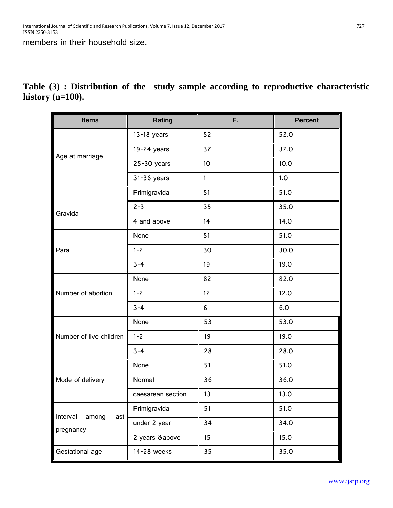members in their household size.

| <b>Items</b>                           | Rating            | F. | <b>Percent</b> |
|----------------------------------------|-------------------|----|----------------|
|                                        | $13-18$ years     | 52 | 52.0           |
|                                        | $19-24$ years     | 37 | 37.0           |
| Age at marriage                        | $25 - 30$ years   | 10 | 10.0           |
|                                        | 31-36 years       | 1  | 1.0            |
|                                        | Primigravida      | 51 | 51.0           |
| Gravida                                | $2 - 3$           | 35 | 35.0           |
|                                        | 4 and above       | 14 | 14.0           |
|                                        | None              | 51 | 51.0           |
| Para                                   | $1 - 2$           | 30 | 30.0           |
|                                        | $3 - 4$           | 19 | 19.0           |
|                                        | None              | 82 | 82.0           |
| Number of abortion                     | $1 - 2$           | 12 | 12.0           |
|                                        | $3 - 4$           | 6  | 6.0            |
|                                        | None              | 53 | 53.0           |
| Number of live children                | $1 - 2$           | 19 | 19.0           |
|                                        | $3 - 4$           | 28 | 28.0           |
| Mode of delivery                       | None              | 51 | 51.0           |
|                                        | Normal            | 36 | 36.0           |
|                                        | caesarean section | 13 | 13.0           |
|                                        | Primigravida      | 51 | 51.0           |
| Interval<br>among<br>last<br>pregnancy | under 2 year      | 34 | 34.0           |
|                                        | 2 years &above    | 15 | 15.0           |
| Gestational age                        | 14-28 weeks       | 35 | 35.0           |

# **Table (3) : Distribution of the study sample according to reproductive characteristic history (n=100).**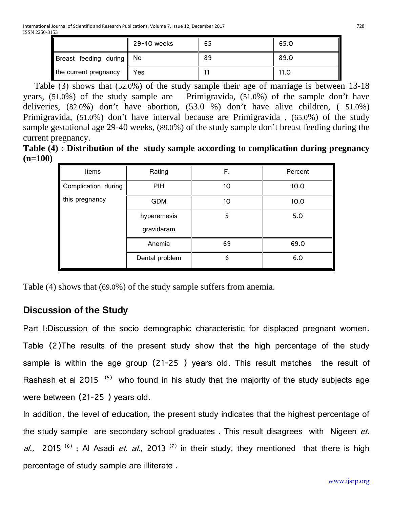|                       | 29-40 weeks | 65 | 65.0 |
|-----------------------|-------------|----|------|
| Breast feeding during | No          | 89 | 89.0 |
| the current pregnancy | Yes         |    | 11.0 |

 Table (3) shows that (52.0%) of the study sample their age of marriage is between 13-18 years, (51.0%) of the study sample are Primigravida, (51.0%) of the sample don't have deliveries, (82.0%) don't have abortion, (53.0 %) don't have alive children, ( 51.0%) Primigravida, (51.0%) don't have interval because are Primigravida , (65.0%) of the study sample gestational age 29-40 weeks, (89.0%) of the study sample don't breast feeding during the current pregnancy.

|           | Table (4): Distribution of the study sample according to complication during pregnancy |
|-----------|----------------------------------------------------------------------------------------|
| $(n=100)$ |                                                                                        |

| Items               | Rating         | F. | Percent |
|---------------------|----------------|----|---------|
| Complication during | <b>PIH</b>     | 10 | 10.0    |
| this pregnancy      | <b>GDM</b>     | 10 | 10.0    |
|                     | hyperemesis    | 5  | 5.0     |
|                     | gravidaram     |    |         |
|                     | Anemia         | 69 | 69.0    |
|                     | Dental problem | 6  | 6.0     |

Table (4) shows that (69.0%) of the study sample suffers from anemia.

# **Discussion of the Study**

Part I:Discussion of the socio demographic characteristic for displaced pregnant women. Table (2)The results of the present study show that the high percentage of the study sample is within the age group (21-25 ) years old. This result matches the result of Rashash et al 2015<sup>(5)</sup> who found in his study that the majority of the study subjects age were between (21-25 ) years old.

In addition, the level of education, the present study indicates that the highest percentage of the study sample are secondary school graduates. This result disagrees with Nigeen et. al., 2015<sup>(6)</sup>; Al Asadi *et. al.*, 2013<sup>(7)</sup> in their study, they mentioned that there is high percentage of study sample are illiterate .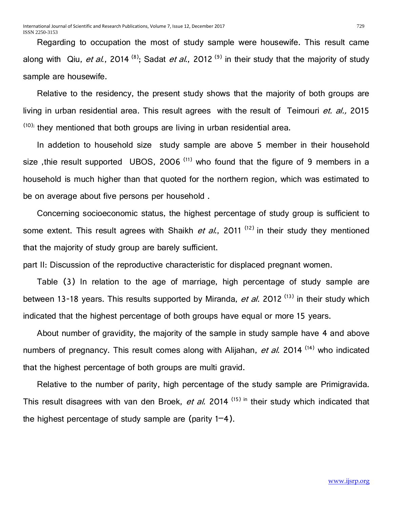Regarding to occupation the most of study sample were housewife. This result came along with Qiu, et al., 2014<sup>(8)</sup>; Sadat et al., 2012<sup>(9)</sup> in their study that the majority of study sample are housewife.

 Relative to the residency, the present study shows that the majority of both groups are living in urban residential area. This result agrees with the result of Teimouri *et. al.*, 2015  $(10)$ ; they mentioned that both groups are living in urban residential area.

 In addetion to household size study sample are above 5 member in their household size , thie result supported UBOS, 2006<sup> $(11)$ </sup> who found that the figure of 9 members in a household is much higher than that quoted for the northern region, which was estimated to be on average about five persons per household .

 Concerning socioeconomic status, the highest percentage of study group is sufficient to some extent. This result agrees with Shaikh *et al.*, 2011<sup>(12)</sup> in their study they mentioned that the majority of study group are barely sufficient.

part II: Discussion of the reproductive characteristic for displaced pregnant women.

 Table (3) In relation to the age of marriage, high percentage of study sample are between 13-18 years. This results supported by Miranda, et al. 2012<sup>(13)</sup> in their study which indicated that the highest percentage of both groups have equal or more 15 years.

 About number of gravidity, the majority of the sample in study sample have 4 and above numbers of pregnancy. This result comes along with Alijahan, et al. 2014<sup>(14)</sup> who indicated that the highest percentage of both groups are multi gravid.

 Relative to the number of parity, high percentage of the study sample are Primigravida. This result disagrees with van den Broek, et al. 2014<sup>(15) in</sup> their study which indicated that the highest percentage of study sample are (parity  $1-4$ ).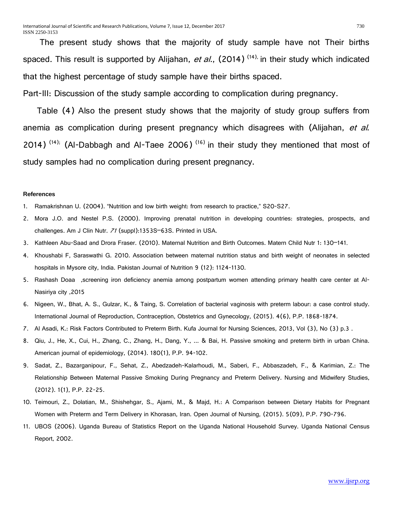The present study shows that the majority of study sample have not Their births spaced. This result is supported by Alijahan, et al.,  $(2014)^{(14)}$  in their study which indicated that the highest percentage of study sample have their births spaced.

Part-III: Discussion of the study sample according to complication during pregnancy.

 Table (4) Also the present study shows that the majority of study group suffers from anemia as complication during present pregnancy which disagrees with (Alijahan, et al. 2014)  $(14)$ ; (Al-Dabbagh and Al-Taee 2006)  $(16)$  in their study they mentioned that most of study samples had no complication during present pregnancy.

#### **References**

- 1. Ramakrishnan U. (2004). "Nutrition and low birth weight: from research to practice," S20-S27.
- 2. Mora J.O. and Nestel P.S. (2000). Improving prenatal nutrition in developing countries: strategies, prospects, and challenges. Am J Clin Nutr. <sup>71</sup>(suppl):1353S–63S. Printed in USA.
- 3. Kathleen Abu-Saad and Drora Fraser. (2010). Maternal Nutrition and Birth Outcomes. Matern Child Nutr 1: 130–141.
- 4. Khoushabi F, Saraswathi G. 2010. Association between maternal nutrition status and birth weight of neonates in selected hospitals in Mysore city, India. Pakistan Journal of Nutrition 9 (12): 1124-1130.
- 5. Rashash Doaa ,screening iron deficiency anemia among postpartum women attending primary health care center at Al-Nasiriya city ,2015
- 6. Nigeen, W., Bhat, A. S., Gulzar, K., & Taing, S. Correlation of bacterial vaginosis with preterm labour: a case control study. International Journal of Reproduction, Contraception, Obstetrics and Gynecology, (2015). 4(6), P.P. 1868-1874.
- 7. Al Asadi, K.: Risk Factors Contributed to Preterm Birth. Kufa Journal for Nursing Sciences, 2013, Vol (3), No (3) p.3 .
- 8. Qiu, J., He, X., Cui, H., Zhang, C., Zhang, H., Dang, Y., ... & Bai, H. Passive smoking and preterm birth in urban China. American journal of epidemiology, (2014). 180(1), P.P. 94-102.
- 9. Sadat, Z., Bazarganipour, F., Sehat, Z., Abedzadeh-Kalarhoudi, M., Saberi, F., Abbaszadeh, F., & Karimian, Z.: The Relationship Between Maternal Passive Smoking During Pregnancy and Preterm Delivery. Nursing and Midwifery Studies, (2012). 1(1), P.P. 22-25.
- 10. Teimouri, Z., Dolatian, M., Shishehgar, S., Ajami, M., & Majd, H.: A Comparison between Dietary Habits for Pregnant Women with Preterm and Term Delivery in Khorasan, Iran. Open Journal of Nursing, (2015). 5(09), P.P. 790-796.
- 11. UBOS (2006). Uganda Bureau of Statistics Report on the Uganda National Household Survey. Uganda National Census Report, 2002.